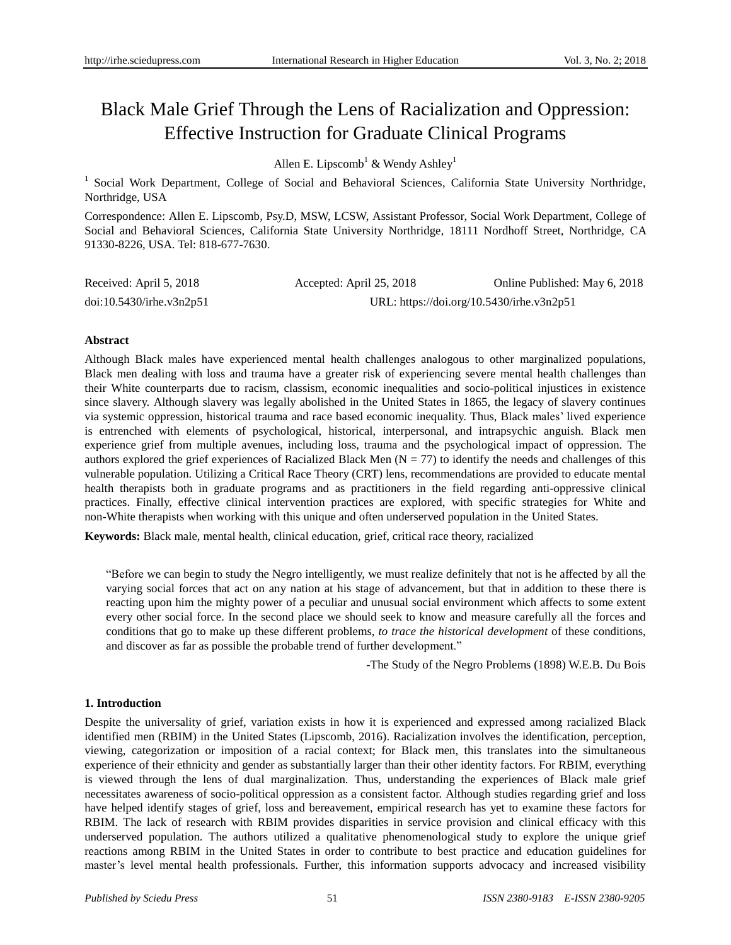# Black Male Grief Through the Lens of Racialization and Oppression: Effective Instruction for Graduate Clinical Programs

Allen E. Lipscomb<sup>1</sup> & Wendy Ashley<sup>1</sup>

<sup>1</sup> Social Work Department, College of Social and Behavioral Sciences, California State University Northridge, Northridge, USA

Correspondence: Allen E. Lipscomb, Psy.D, MSW, LCSW, Assistant Professor, Social Work Department, College of Social and Behavioral Sciences, California State University Northridge, 18111 Nordhoff Street, Northridge, CA 91330-8226, USA. Tel: 818-677-7630.

| Received: April 5, 2018  | Accepted: April 25, 2018                  | Online Published: May 6, 2018 |
|--------------------------|-------------------------------------------|-------------------------------|
| doi:10.5430/irhe.v3n2p51 | URL: https://doi.org/10.5430/irhe.v3n2p51 |                               |

#### **Abstract**

Although Black males have experienced mental health challenges analogous to other marginalized populations, Black men dealing with loss and trauma have a greater risk of experiencing severe mental health challenges than their White counterparts due to racism, classism, economic inequalities and socio-political injustices in existence since slavery. Although slavery was legally abolished in the United States in 1865, the legacy of slavery continues via systemic oppression, historical trauma and race based economic inequality. Thus, Black males' lived experience is entrenched with elements of psychological, historical, interpersonal, and intrapsychic anguish. Black men experience grief from multiple avenues, including loss, trauma and the psychological impact of oppression. The authors explored the grief experiences of Racialized Black Men  $(N = 77)$  to identify the needs and challenges of this vulnerable population. Utilizing a Critical Race Theory (CRT) lens, recommendations are provided to educate mental health therapists both in graduate programs and as practitioners in the field regarding anti-oppressive clinical practices. Finally, effective clinical intervention practices are explored, with specific strategies for White and non-White therapists when working with this unique and often underserved population in the United States.

**Keywords:** Black male, mental health, clinical education, grief, critical race theory, racialized

"Before we can begin to study the Negro intelligently, we must realize definitely that not is he affected by all the varying social forces that act on any nation at his stage of advancement, but that in addition to these there is reacting upon him the mighty power of a peculiar and unusual social environment which affects to some extent every other social force. In the second place we should seek to know and measure carefully all the forces and conditions that go to make up these different problems, *to trace the historical development* of these conditions, and discover as far as possible the probable trend of further development."

-The Study of the Negro Problems (1898) W.E.B. Du Bois

# **1. Introduction**

Despite the universality of grief, variation exists in how it is experienced and expressed among racialized Black identified men (RBIM) in the United States (Lipscomb, 2016). Racialization involves the identification, perception, viewing, categorization or imposition of a racial context; for Black men, this translates into the simultaneous experience of their ethnicity and gender as substantially larger than their other identity factors. For RBIM, everything is viewed through the lens of dual marginalization. Thus, understanding the experiences of Black male grief necessitates awareness of socio-political oppression as a consistent factor. Although studies regarding grief and loss have helped identify stages of grief, loss and bereavement, empirical research has yet to examine these factors for RBIM. The lack of research with RBIM provides disparities in service provision and clinical efficacy with this underserved population. The authors utilized a qualitative phenomenological study to explore the unique grief reactions among RBIM in the United States in order to contribute to best practice and education guidelines for master's level mental health professionals. Further, this information supports advocacy and increased visibility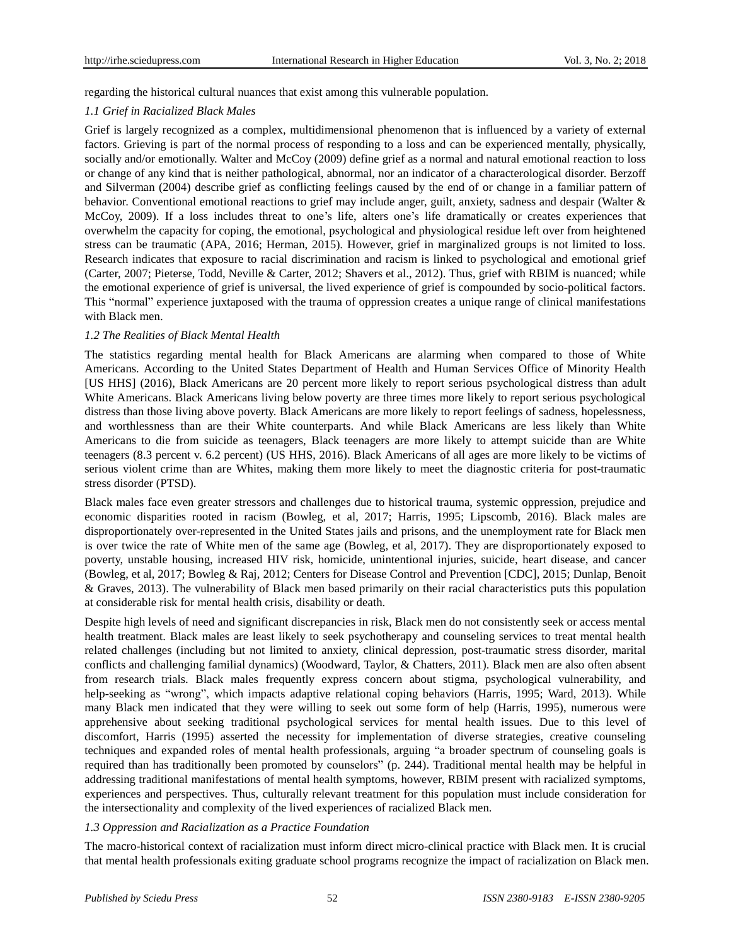regarding the historical cultural nuances that exist among this vulnerable population.

## *1.1 Grief in Racialized Black Males*

Grief is largely recognized as a complex, multidimensional phenomenon that is influenced by a variety of external factors. Grieving is part of the normal process of responding to a loss and can be experienced mentally, physically, socially and/or emotionally. Walter and McCoy (2009) define grief as a normal and natural emotional reaction to loss or change of any kind that is neither pathological, abnormal, nor an indicator of a characterological disorder. Berzoff and Silverman (2004) describe grief as conflicting feelings caused by the end of or change in a familiar pattern of behavior. Conventional emotional reactions to grief may include anger, guilt, anxiety, sadness and despair (Walter & McCoy, 2009). If a loss includes threat to one's life, alters one's life dramatically or creates experiences that overwhelm the capacity for coping, the emotional, psychological and physiological residue left over from heightened stress can be traumatic (APA, 2016; Herman, 2015). However, grief in marginalized groups is not limited to loss. Research indicates that exposure to racial discrimination and racism is linked to psychological and emotional grief (Carter, 2007; Pieterse, Todd, Neville & Carter, 2012; Shavers et al., 2012). Thus, grief with RBIM is nuanced; while the emotional experience of grief is universal, the lived experience of grief is compounded by socio-political factors. This "normal" experience juxtaposed with the trauma of oppression creates a unique range of clinical manifestations with Black men.

## *1.2 The Realities of Black Mental Health*

The statistics regarding mental health for Black Americans are alarming when compared to those of White Americans. According to the United States Department of Health and Human Services Office of Minority Health [US HHS] (2016), Black Americans are 20 percent more likely to report serious psychological distress than adult White Americans. Black Americans living below poverty are three times more likely to report serious psychological distress than those living above poverty. Black Americans are more likely to report feelings of sadness, hopelessness, and worthlessness than are their White counterparts. And while Black Americans are less likely than White Americans to die from suicide as teenagers, Black teenagers are more likely to attempt suicide than are White teenagers (8.3 percent v. 6.2 percent) (US HHS, 2016). Black Americans of all ages are more likely to be victims of serious violent crime than are Whites, making them more likely to meet the diagnostic criteria for post-traumatic stress disorder (PTSD).

Black males face even greater stressors and challenges due to historical trauma, systemic oppression, prejudice and economic disparities rooted in racism (Bowleg, et al, 2017; Harris, 1995; Lipscomb, 2016). Black males are disproportionately over-represented in the United States jails and prisons, and the unemployment rate for Black men is over twice the rate of White men of the same age (Bowleg, et al, 2017). They are disproportionately exposed to poverty, unstable housing, increased HIV risk, homicide, unintentional injuries, suicide, heart disease, and cancer (Bowleg, et al, 2017; Bowleg & Raj, 2012; Centers for Disease Control and Prevention [CDC], 2015; Dunlap, Benoit & Graves, 2013). The vulnerability of Black men based primarily on their racial characteristics puts this population at considerable risk for mental health crisis, disability or death.

Despite high levels of need and significant discrepancies in risk, Black men do not consistently seek or access mental health treatment. Black males are least likely to seek psychotherapy and counseling services to treat mental health related challenges (including but not limited to anxiety, clinical depression, post-traumatic stress disorder, marital conflicts and challenging familial dynamics) (Woodward, Taylor, & Chatters, 2011). Black men are also often absent from research trials. Black males frequently express concern about stigma, psychological vulnerability, and help-seeking as "wrong", which impacts adaptive relational coping behaviors (Harris, 1995; Ward, 2013). While many Black men indicated that they were willing to seek out some form of help (Harris, 1995), numerous were apprehensive about seeking traditional psychological services for mental health issues. Due to this level of discomfort, Harris (1995) asserted the necessity for implementation of diverse strategies, creative counseling techniques and expanded roles of mental health professionals, arguing "a broader spectrum of counseling goals is required than has traditionally been promoted by counselors" (p. 244). Traditional mental health may be helpful in addressing traditional manifestations of mental health symptoms, however, RBIM present with racialized symptoms, experiences and perspectives. Thus, culturally relevant treatment for this population must include consideration for the intersectionality and complexity of the lived experiences of racialized Black men.

# *1.3 Oppression and Racialization as a Practice Foundation*

The macro-historical context of racialization must inform direct micro-clinical practice with Black men. It is crucial that mental health professionals exiting graduate school programs recognize the impact of racialization on Black men.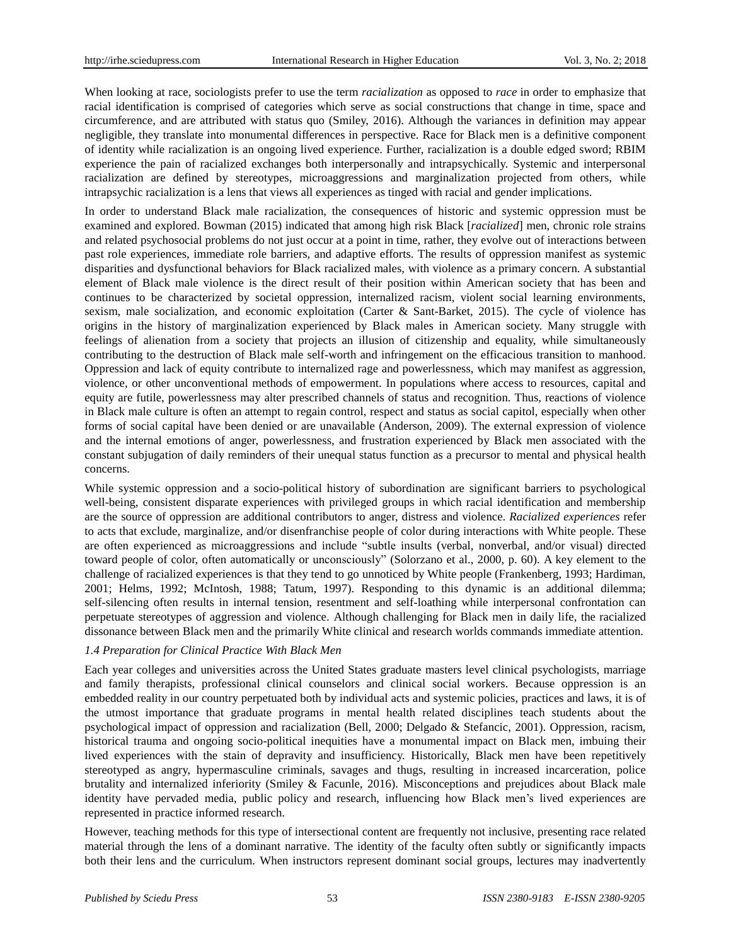When looking at race, sociologists prefer to use the term *racialization* as opposed to *race* in order to emphasize that racial identification is comprised of categories which serve as social constructions that change in time, space and circumference, and are attributed with status quo (Smiley, 2016). Although the variances in definition may appear negligible, they translate into monumental differences in perspective. Race for Black men is a definitive component of identity while racialization is an ongoing lived experience. Further, racialization is a double edged sword; RBIM experience the pain of racialized exchanges both interpersonally and intrapsychically. Systemic and interpersonal racialization are defined by stereotypes, microaggressions and marginalization projected from others, while intrapsychic racialization is a lens that views all experiences as tinged with racial and gender implications.

In order to understand Black male racialization, the consequences of historic and systemic oppression must be examined and explored. Bowman (2015) indicated that among high risk Black [*racialized*] men, chronic role strains and related psychosocial problems do not just occur at a point in time, rather, they evolve out of interactions between past role experiences, immediate role barriers, and adaptive efforts. The results of oppression manifest as systemic disparities and dysfunctional behaviors for Black racialized males, with violence as a primary concern. A substantial element of Black male violence is the direct result of their position within American society that has been and continues to be characterized by societal oppression, internalized racism, violent social learning environments, sexism, male socialization, and economic exploitation (Carter & Sant-Barket, 2015). The cycle of violence has origins in the history of marginalization experienced by Black males in American society. Many struggle with feelings of alienation from a society that projects an illusion of citizenship and equality, while simultaneously contributing to the destruction of Black male self-worth and infringement on the efficacious transition to manhood. Oppression and lack of equity contribute to internalized rage and powerlessness, which may manifest as aggression, violence, or other unconventional methods of empowerment. In populations where access to resources, capital and equity are futile, powerlessness may alter prescribed channels of status and recognition. Thus, reactions of violence in Black male culture is often an attempt to regain control, respect and status as social capitol, especially when other forms of social capital have been denied or are unavailable (Anderson, 2009). The external expression of violence and the internal emotions of anger, powerlessness, and frustration experienced by Black men associated with the constant subjugation of daily reminders of their unequal status function as a precursor to mental and physical health concerns.

While systemic oppression and a socio-political history of subordination are significant barriers to psychological well-being, consistent disparate experiences with privileged groups in which racial identification and membership are the source of oppression are additional contributors to anger, distress and violence. *Racialized experiences* refer to acts that exclude, marginalize, and/or disenfranchise people of color during interactions with White people. These are often experienced as microaggressions and include "subtle insults (verbal, nonverbal, and/or visual) directed toward people of color, often automatically or unconsciously" (Solorzano et al., 2000, p. 60). A key element to the challenge of racialized experiences is that they tend to go unnoticed by White people (Frankenberg, 1993; Hardiman, 2001; Helms, 1992; McIntosh, 1988; Tatum, 1997). Responding to this dynamic is an additional dilemma; self-silencing often results in internal tension, resentment and self-loathing while interpersonal confrontation can perpetuate stereotypes of aggression and violence. Although challenging for Black men in daily life, the racialized dissonance between Black men and the primarily White clinical and research worlds commands immediate attention.

#### *1.4 Preparation for Clinical Practice With Black Men*

Each year colleges and universities across the United States graduate masters level clinical psychologists, marriage and family therapists, professional clinical counselors and clinical social workers. Because oppression is an embedded reality in our country perpetuated both by individual acts and systemic policies, practices and laws, it is of the utmost importance that graduate programs in mental health related disciplines teach students about the psychological impact of oppression and racialization (Bell, 2000; Delgado & Stefancic, 2001). Oppression, racism, historical trauma and ongoing socio-political inequities have a monumental impact on Black men, imbuing their lived experiences with the stain of depravity and insufficiency. Historically, Black men have been repetitively stereotyped as angry, hypermasculine criminals, savages and thugs, resulting in increased incarceration, police brutality and internalized inferiority (Smiley & Facunle, 2016). Misconceptions and prejudices about Black male identity have pervaded media, public policy and research, influencing how Black men's lived experiences are represented in practice informed research.

However, teaching methods for this type of intersectional content are frequently not inclusive, presenting race related material through the lens of a dominant narrative. The identity of the faculty often subtly or significantly impacts both their lens and the curriculum. When instructors represent dominant social groups, lectures may inadvertently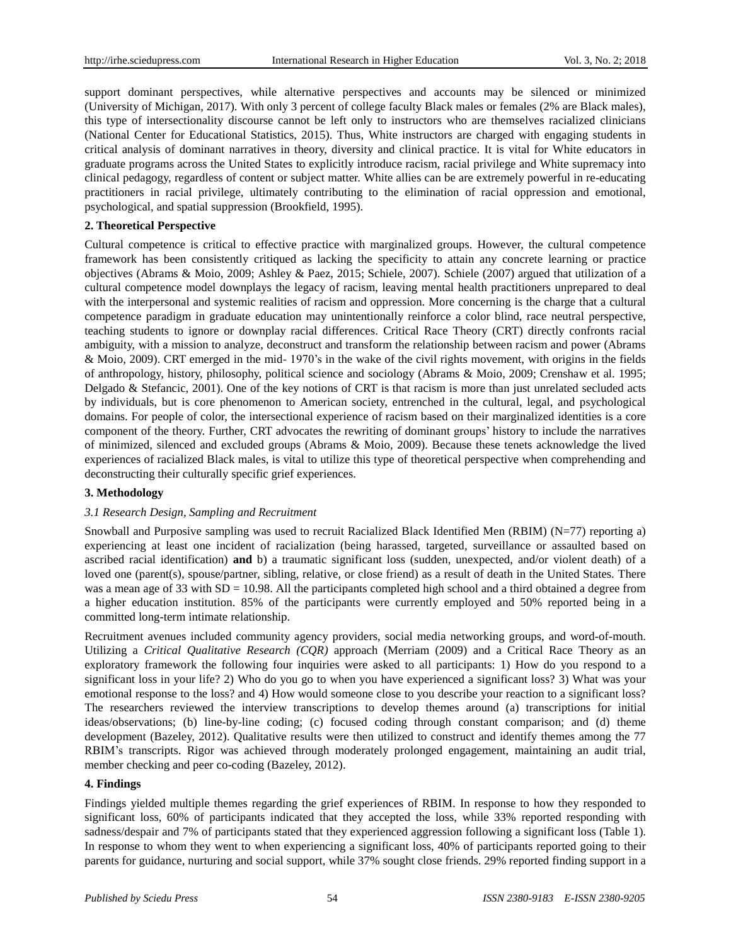support dominant perspectives, while alternative perspectives and accounts may be silenced or minimized (University of Michigan, 2017). With only 3 percent of college faculty Black males or females (2% are Black males), this type of intersectionality discourse cannot be left only to instructors who are themselves racialized clinicians (National Center for Educational Statistics, 2015). Thus, White instructors are charged with engaging students in critical analysis of dominant narratives in theory, diversity and clinical practice. It is vital for White educators in graduate programs across the United States to explicitly introduce racism, racial privilege and White supremacy into clinical pedagogy, regardless of content or subject matter. White allies can be are extremely powerful in re-educating practitioners in racial privilege, ultimately contributing to the elimination of racial oppression and emotional, psychological, and spatial suppression (Brookfield, 1995).

#### **2. Theoretical Perspective**

Cultural competence is critical to effective practice with marginalized groups. However, the cultural competence framework has been consistently critiqued as lacking the specificity to attain any concrete learning or practice objectives (Abrams & Moio, 2009; Ashley & Paez, 2015; Schiele, 2007). Schiele (2007) argued that utilization of a cultural competence model downplays the legacy of racism, leaving mental health practitioners unprepared to deal with the interpersonal and systemic realities of racism and oppression. More concerning is the charge that a cultural competence paradigm in graduate education may unintentionally reinforce a color blind, race neutral perspective, teaching students to ignore or downplay racial differences. Critical Race Theory (CRT) directly confronts racial ambiguity, with a mission to analyze, deconstruct and transform the relationship between racism and power (Abrams & Moio, 2009). CRT emerged in the mid- 1970's in the wake of the civil rights movement, with origins in the fields of anthropology, history, philosophy, political science and sociology (Abrams & Moio, 2009; Crenshaw et al. 1995; Delgado & Stefancic, 2001). One of the key notions of CRT is that racism is more than just unrelated secluded acts by individuals, but is core phenomenon to American society, entrenched in the cultural, legal, and psychological domains. For people of color, the intersectional experience of racism based on their marginalized identities is a core component of the theory. Further, CRT advocates the rewriting of dominant groups' history to include the narratives of minimized, silenced and excluded groups (Abrams & Moio, 2009). Because these tenets acknowledge the lived experiences of racialized Black males, is vital to utilize this type of theoretical perspective when comprehending and deconstructing their culturally specific grief experiences.

#### **3. Methodology**

#### *3.1 Research Design, Sampling and Recruitment*

Snowball and Purposive sampling was used to recruit Racialized Black Identified Men (RBIM) (N=77) reporting a) experiencing at least one incident of racialization (being harassed, targeted, surveillance or assaulted based on ascribed racial identification) **and** b) a traumatic significant loss (sudden, unexpected, and/or violent death) of a loved one (parent(s), spouse/partner, sibling, relative, or close friend) as a result of death in the United States. There was a mean age of 33 with  $SD = 10.98$ . All the participants completed high school and a third obtained a degree from a higher education institution. 85% of the participants were currently employed and 50% reported being in a committed long-term intimate relationship.

Recruitment avenues included community agency providers, social media networking groups, and word-of-mouth. Utilizing a *Critical Qualitative Research (CQR)* approach (Merriam (2009) and a Critical Race Theory as an exploratory framework the following four inquiries were asked to all participants: 1) How do you respond to a significant loss in your life? 2) Who do you go to when you have experienced a significant loss? 3) What was your emotional response to the loss? and 4) How would someone close to you describe your reaction to a significant loss? The researchers reviewed the interview transcriptions to develop themes around (a) transcriptions for initial ideas/observations; (b) line-by-line coding; (c) focused coding through constant comparison; and (d) theme development (Bazeley, 2012). Qualitative results were then utilized to construct and identify themes among the 77 RBIM's transcripts. Rigor was achieved through moderately prolonged engagement, maintaining an audit trial, member checking and peer co-coding (Bazeley, 2012).

#### **4. Findings**

Findings yielded multiple themes regarding the grief experiences of RBIM. In response to how they responded to significant loss, 60% of participants indicated that they accepted the loss, while 33% reported responding with sadness/despair and 7% of participants stated that they experienced aggression following a significant loss (Table 1). In response to whom they went to when experiencing a significant loss, 40% of participants reported going to their parents for guidance, nurturing and social support, while 37% sought close friends. 29% reported finding support in a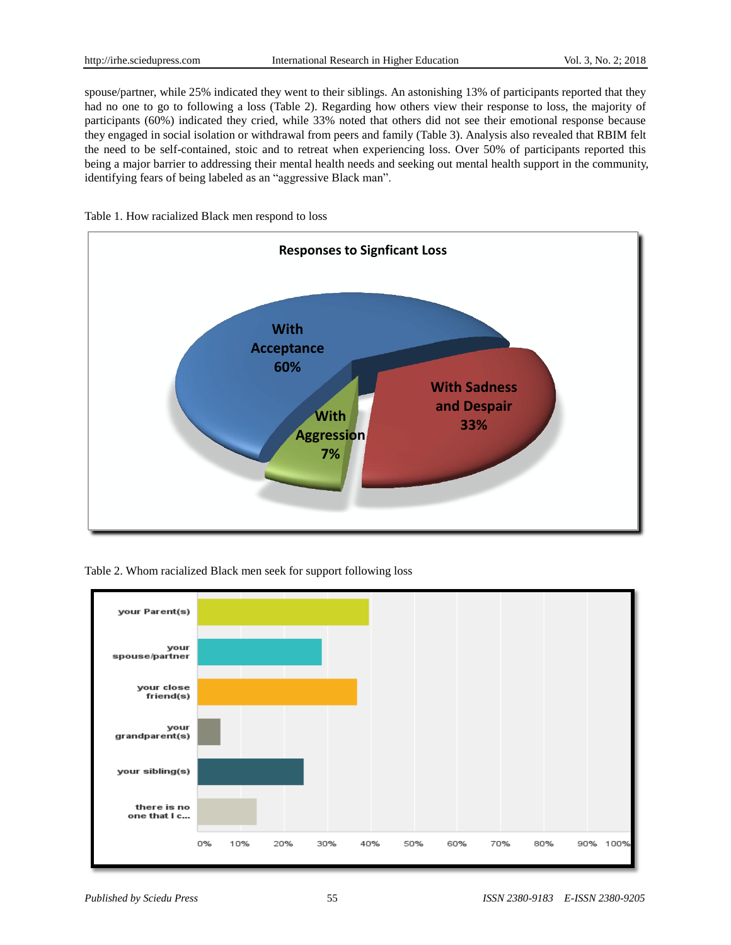spouse/partner, while 25% indicated they went to their siblings. An astonishing 13% of participants reported that they had no one to go to following a loss (Table 2). Regarding how others view their response to loss, the majority of participants (60%) indicated they cried, while 33% noted that others did not see their emotional response because they engaged in social isolation or withdrawal from peers and family (Table 3). Analysis also revealed that RBIM felt the need to be self-contained, stoic and to retreat when experiencing loss. Over 50% of participants reported this being a major barrier to addressing their mental health needs and seeking out mental health support in the community, identifying fears of being labeled as an "aggressive Black man".





Table 2. Whom racialized Black men seek for support following loss

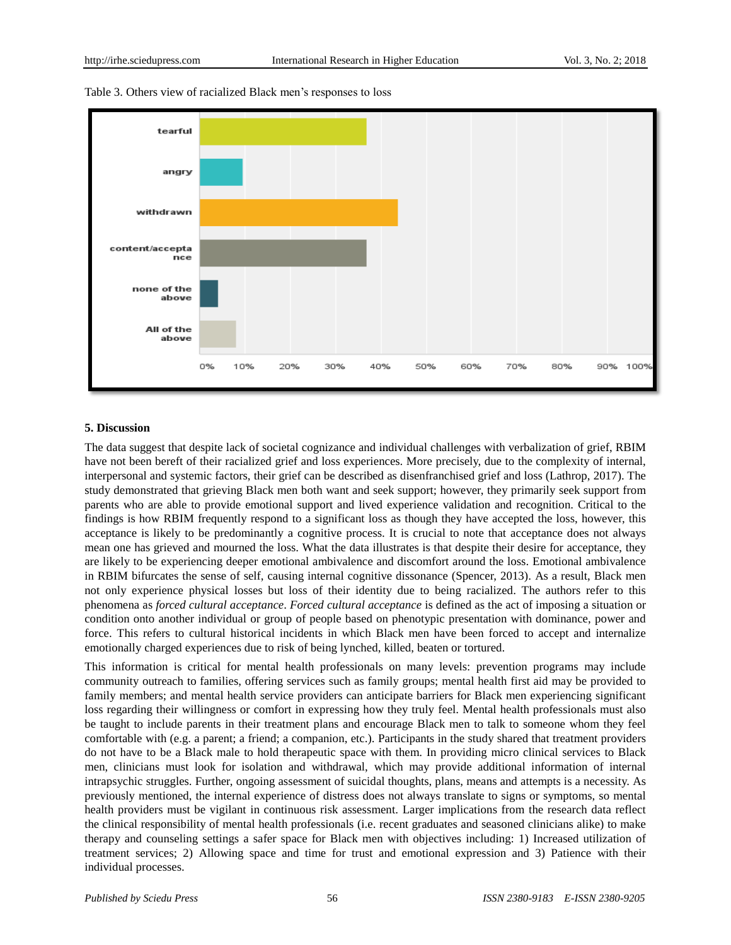

#### Table 3. Others view of racialized Black men's responses to loss

## **5. Discussion**

The data suggest that despite lack of societal cognizance and individual challenges with verbalization of grief, RBIM have not been bereft of their racialized grief and loss experiences. More precisely, due to the complexity of internal, interpersonal and systemic factors, their grief can be described as disenfranchised grief and loss (Lathrop, 2017). The study demonstrated that grieving Black men both want and seek support; however, they primarily seek support from parents who are able to provide emotional support and lived experience validation and recognition. Critical to the findings is how RBIM frequently respond to a significant loss as though they have accepted the loss, however, this acceptance is likely to be predominantly a cognitive process. It is crucial to note that acceptance does not always mean one has grieved and mourned the loss. What the data illustrates is that despite their desire for acceptance, they are likely to be experiencing deeper emotional ambivalence and discomfort around the loss. Emotional ambivalence in RBIM bifurcates the sense of self, causing internal cognitive dissonance (Spencer, 2013). As a result, Black men not only experience physical losses but loss of their identity due to being racialized. The authors refer to this phenomena as *forced cultural acceptance*. *Forced cultural acceptance* is defined as the act of imposing a situation or condition onto another individual or group of people based on phenotypic presentation with dominance, power and force. This refers to cultural historical incidents in which Black men have been forced to accept and internalize emotionally charged experiences due to risk of being lynched, killed, beaten or tortured.

This information is critical for mental health professionals on many levels: prevention programs may include community outreach to families, offering services such as family groups; mental health first aid may be provided to family members; and mental health service providers can anticipate barriers for Black men experiencing significant loss regarding their willingness or comfort in expressing how they truly feel. Mental health professionals must also be taught to include parents in their treatment plans and encourage Black men to talk to someone whom they feel comfortable with (e.g. a parent; a friend; a companion, etc.). Participants in the study shared that treatment providers do not have to be a Black male to hold therapeutic space with them. In providing micro clinical services to Black men, clinicians must look for isolation and withdrawal, which may provide additional information of internal intrapsychic struggles. Further, ongoing assessment of suicidal thoughts, plans, means and attempts is a necessity. As previously mentioned, the internal experience of distress does not always translate to signs or symptoms, so mental health providers must be vigilant in continuous risk assessment. Larger implications from the research data reflect the clinical responsibility of mental health professionals (i.e. recent graduates and seasoned clinicians alike) to make therapy and counseling settings a safer space for Black men with objectives including: 1) Increased utilization of treatment services; 2) Allowing space and time for trust and emotional expression and 3) Patience with their individual processes.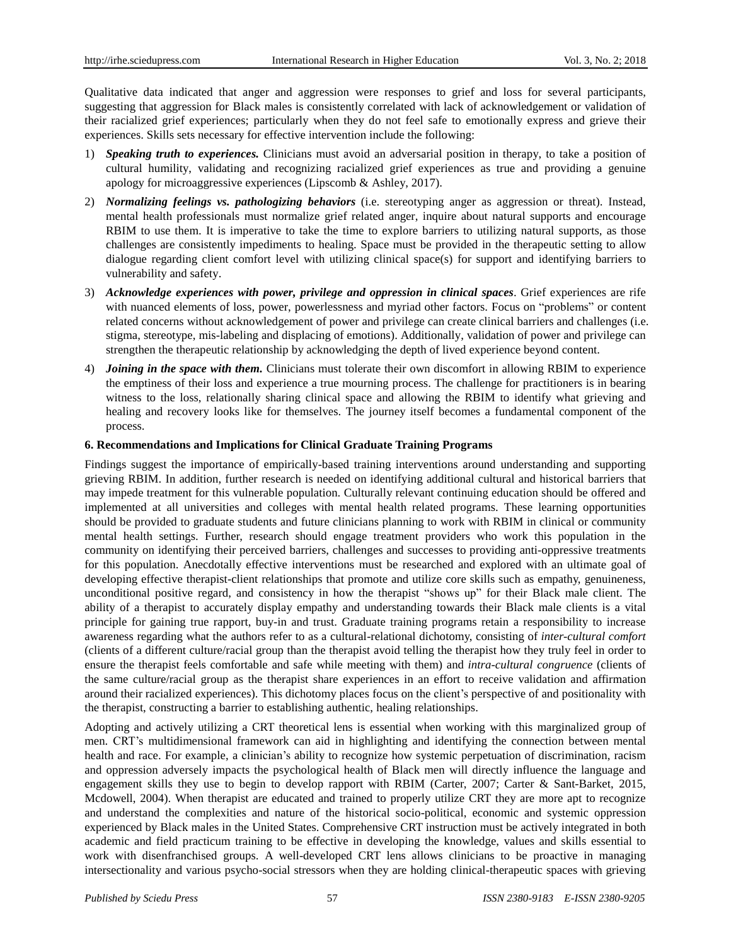Qualitative data indicated that anger and aggression were responses to grief and loss for several participants, suggesting that aggression for Black males is consistently correlated with lack of acknowledgement or validation of their racialized grief experiences; particularly when they do not feel safe to emotionally express and grieve their experiences. Skills sets necessary for effective intervention include the following:

- 1) *Speaking truth to experiences.* Clinicians must avoid an adversarial position in therapy, to take a position of cultural humility, validating and recognizing racialized grief experiences as true and providing a genuine apology for microaggressive experiences (Lipscomb & Ashley, 2017).
- 2) *Normalizing feelings vs. pathologizing behaviors* (i.e. stereotyping anger as aggression or threat). Instead, mental health professionals must normalize grief related anger, inquire about natural supports and encourage RBIM to use them. It is imperative to take the time to explore barriers to utilizing natural supports, as those challenges are consistently impediments to healing. Space must be provided in the therapeutic setting to allow dialogue regarding client comfort level with utilizing clinical space(s) for support and identifying barriers to vulnerability and safety.
- 3) *Acknowledge experiences with power, privilege and oppression in clinical spaces*. Grief experiences are rife with nuanced elements of loss, power, powerlessness and myriad other factors. Focus on "problems" or content related concerns without acknowledgement of power and privilege can create clinical barriers and challenges (i.e. stigma, stereotype, mis-labeling and displacing of emotions). Additionally, validation of power and privilege can strengthen the therapeutic relationship by acknowledging the depth of lived experience beyond content.
- 4) *Joining in the space with them.* Clinicians must tolerate their own discomfort in allowing RBIM to experience the emptiness of their loss and experience a true mourning process. The challenge for practitioners is in bearing witness to the loss, relationally sharing clinical space and allowing the RBIM to identify what grieving and healing and recovery looks like for themselves. The journey itself becomes a fundamental component of the process.

#### **6. Recommendations and Implications for Clinical Graduate Training Programs**

Findings suggest the importance of empirically-based training interventions around understanding and supporting grieving RBIM. In addition, further research is needed on identifying additional cultural and historical barriers that may impede treatment for this vulnerable population. Culturally relevant continuing education should be offered and implemented at all universities and colleges with mental health related programs. These learning opportunities should be provided to graduate students and future clinicians planning to work with RBIM in clinical or community mental health settings. Further, research should engage treatment providers who work this population in the community on identifying their perceived barriers, challenges and successes to providing anti-oppressive treatments for this population. Anecdotally effective interventions must be researched and explored with an ultimate goal of developing effective therapist-client relationships that promote and utilize core skills such as empathy, genuineness, unconditional positive regard, and consistency in how the therapist "shows up" for their Black male client. The ability of a therapist to accurately display empathy and understanding towards their Black male clients is a vital principle for gaining true rapport, buy-in and trust. Graduate training programs retain a responsibility to increase awareness regarding what the authors refer to as a cultural-relational dichotomy, consisting of *inter-cultural comfort* (clients of a different culture/racial group than the therapist avoid telling the therapist how they truly feel in order to ensure the therapist feels comfortable and safe while meeting with them) and *intra-cultural congruence* (clients of the same culture/racial group as the therapist share experiences in an effort to receive validation and affirmation around their racialized experiences). This dichotomy places focus on the client's perspective of and positionality with the therapist, constructing a barrier to establishing authentic, healing relationships.

Adopting and actively utilizing a CRT theoretical lens is essential when working with this marginalized group of men. CRT's multidimensional framework can aid in highlighting and identifying the connection between mental health and race. For example, a clinician's ability to recognize how systemic perpetuation of discrimination, racism and oppression adversely impacts the psychological health of Black men will directly influence the language and engagement skills they use to begin to develop rapport with RBIM (Carter, 2007; Carter & Sant-Barket, 2015, Mcdowell, 2004). When therapist are educated and trained to properly utilize CRT they are more apt to recognize and understand the complexities and nature of the historical socio-political, economic and systemic oppression experienced by Black males in the United States. Comprehensive CRT instruction must be actively integrated in both academic and field practicum training to be effective in developing the knowledge, values and skills essential to work with disenfranchised groups. A well-developed CRT lens allows clinicians to be proactive in managing intersectionality and various psycho-social stressors when they are holding clinical-therapeutic spaces with grieving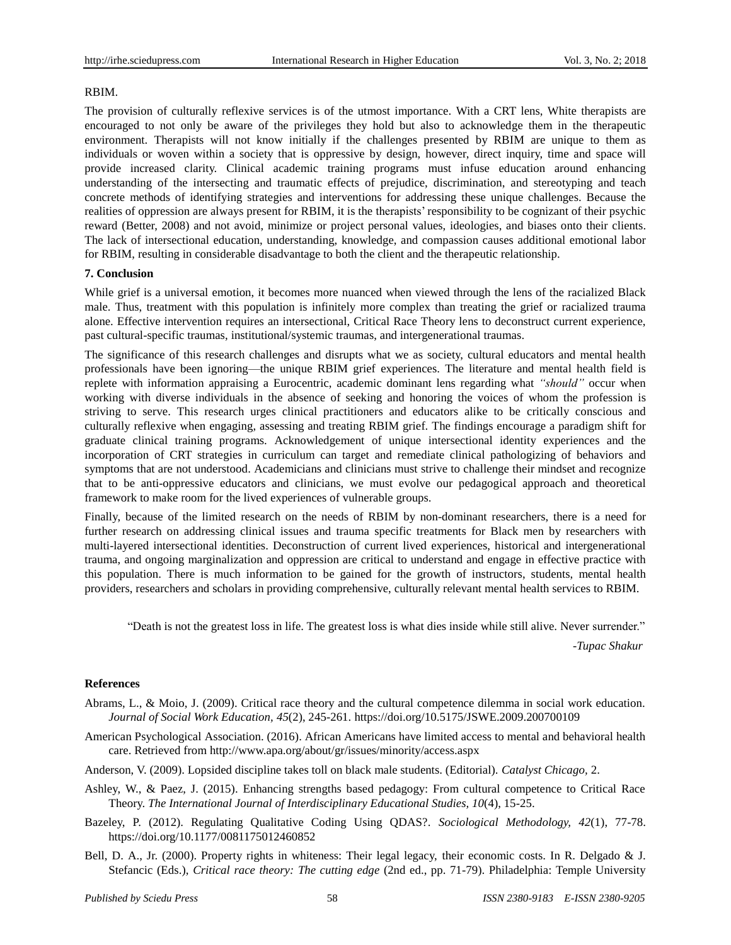#### RBIM.

The provision of culturally reflexive services is of the utmost importance. With a CRT lens, White therapists are encouraged to not only be aware of the privileges they hold but also to acknowledge them in the therapeutic environment. Therapists will not know initially if the challenges presented by RBIM are unique to them as individuals or woven within a society that is oppressive by design, however, direct inquiry, time and space will provide increased clarity. Clinical academic training programs must infuse education around enhancing understanding of the intersecting and traumatic effects of prejudice, discrimination, and stereotyping and teach concrete methods of identifying strategies and interventions for addressing these unique challenges. Because the realities of oppression are always present for RBIM, it is the therapists' responsibility to be cognizant of their psychic reward (Better, 2008) and not avoid, minimize or project personal values, ideologies, and biases onto their clients. The lack of intersectional education, understanding, knowledge, and compassion causes additional emotional labor for RBIM, resulting in considerable disadvantage to both the client and the therapeutic relationship.

#### **7. Conclusion**

While grief is a universal emotion, it becomes more nuanced when viewed through the lens of the racialized Black male. Thus, treatment with this population is infinitely more complex than treating the grief or racialized trauma alone. Effective intervention requires an intersectional, Critical Race Theory lens to deconstruct current experience, past cultural-specific traumas, institutional/systemic traumas, and intergenerational traumas.

The significance of this research challenges and disrupts what we as society, cultural educators and mental health professionals have been ignoring—the unique RBIM grief experiences. The literature and mental health field is replete with information appraising a Eurocentric, academic dominant lens regarding what *"should"* occur when working with diverse individuals in the absence of seeking and honoring the voices of whom the profession is striving to serve. This research urges clinical practitioners and educators alike to be critically conscious and culturally reflexive when engaging, assessing and treating RBIM grief. The findings encourage a paradigm shift for graduate clinical training programs. Acknowledgement of unique intersectional identity experiences and the incorporation of CRT strategies in curriculum can target and remediate clinical pathologizing of behaviors and symptoms that are not understood. Academicians and clinicians must strive to challenge their mindset and recognize that to be anti-oppressive educators and clinicians, we must evolve our pedagogical approach and theoretical framework to make room for the lived experiences of vulnerable groups.

Finally, because of the limited research on the needs of RBIM by non-dominant researchers, there is a need for further research on addressing clinical issues and trauma specific treatments for Black men by researchers with multi-layered intersectional identities. Deconstruction of current lived experiences, historical and intergenerational trauma, and ongoing marginalization and oppression are critical to understand and engage in effective practice with this population. There is much information to be gained for the growth of instructors, students, mental health providers, researchers and scholars in providing comprehensive, culturally relevant mental health services to RBIM.

"Death is not the greatest loss in life. The greatest loss is what dies inside while still alive. Never surrender."

*-Tupac Shakur*

#### **References**

- Abrams, L., & Moio, J. (2009). Critical race theory and the cultural competence dilemma in social work education. *Journal of Social Work Education, 45*(2), 245-261. https://doi.org/10.5175/JSWE.2009.200700109
- American Psychological Association. (2016). African Americans have limited access to mental and behavioral health care. Retrieved from<http://www.apa.org/about/gr/issues/minority/access.aspx>
- Anderson, V. (2009). Lopsided discipline takes toll on black male students. (Editorial). *Catalyst Chicago,* 2.
- Ashley, W., & Paez, J. (2015). Enhancing strengths based pedagogy: From cultural competence to Critical Race Theory. *The International Journal of Interdisciplinary Educational Studies, 10*(4), 15-25.
- Bazeley, P. (2012). Regulating Qualitative Coding Using QDAS?. *Sociological Methodology, 42*(1), 77-78. https://doi.org/10.1177/0081175012460852
- Bell, D. A., Jr. (2000). Property rights in whiteness: Their legal legacy, their economic costs. In R. Delgado & J. Stefancic (Eds.), *Critical race theory: The cutting edge* (2nd ed., pp. 71-79). Philadelphia: Temple University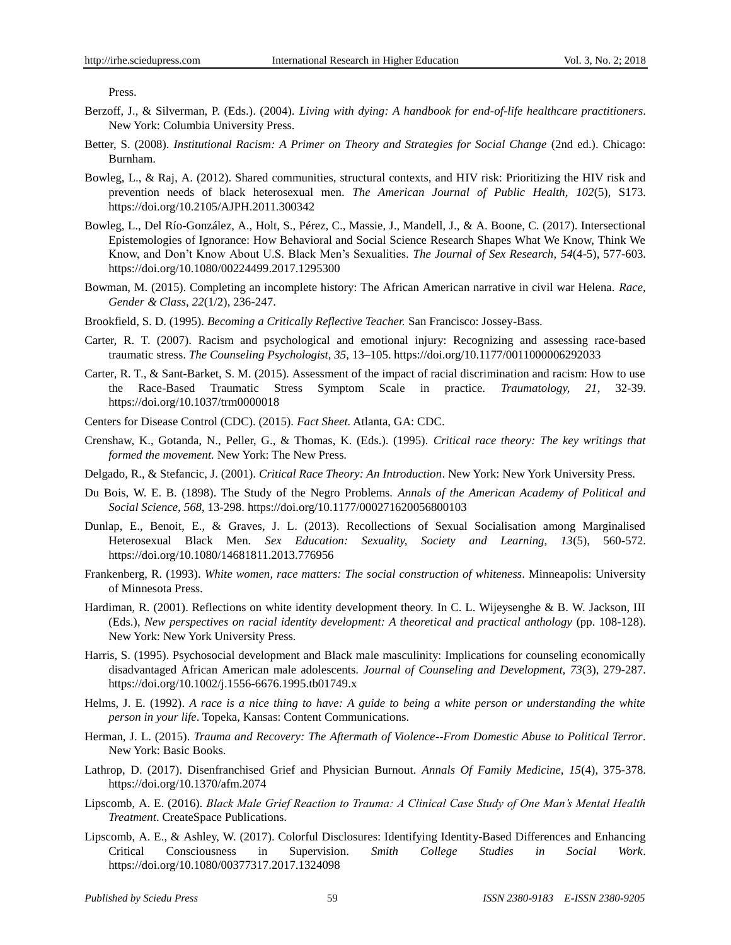Press.

- Berzoff, J., & Silverman, P. (Eds.). (2004). *Living with dying: A handbook for end-of-life healthcare practitioners*. New York: Columbia University Press.
- Better, S. (2008). *Institutional Racism: A Primer on Theory and Strategies for Social Change* (2nd ed.). Chicago: Burnham.
- Bowleg, L., & Raj, A. (2012). Shared communities, structural contexts, and HIV risk: Prioritizing the HIV risk and prevention needs of black heterosexual men. *The American Journal of Public Health, 102*(5), S173. https://doi.org/10.2105/AJPH.2011.300342
- Bowleg, L., Del R ó-Gonz ález, A., Holt, S., Pérez, C., Massie, J., Mandell, J., & A. Boone, C. (2017). Intersectional Epistemologies of Ignorance: How Behavioral and Social Science Research Shapes What We Know, Think We Know, and Don't Know About U.S. Black Men's Sexualities. *The Journal of Sex Research, 54*(4-5), 577-603. https://doi.org/10.1080/00224499.2017.1295300
- Bowman, M. (2015). Completing an incomplete history: The African American narrative in civil war Helena. *Race, Gender & Class, 22*(1/2), 236-247.
- Brookfield, S. D. (1995). *Becoming a Critically Reflective Teacher.* San Francisco: Jossey-Bass.
- Carter, R. T. (2007). Racism and psychological and emotional injury: Recognizing and assessing race-based traumatic stress. *The Counseling Psychologist, 35,* 13–105. https://doi.org/10.1177/0011000006292033
- Carter, R. T., & Sant-Barket, S. M. (2015). Assessment of the impact of racial discrimination and racism: How to use the Race-Based Traumatic Stress Symptom Scale in practice. *Traumatology, 21*, 32-39. https://doi.org/10.1037/trm0000018
- Centers for Disease Control (CDC). (2015). *Fact Sheet.* Atlanta, GA: CDC.
- Crenshaw, K., Gotanda, N., Peller, G., & Thomas, K. (Eds.). (1995). *Critical race theory: The key writings that formed the movement.* New York: The New Press.
- Delgado, R., & Stefancic, J. (2001). *Critical Race Theory: An Introduction*. New York: New York University Press.
- Du Bois, W. E. B. (1898). The Study of the Negro Problems. *Annals of the American Academy of Political and Social Science, 568*, 13-298. https://doi.org/10.1177/000271620056800103
- Dunlap, E., Benoit, E., & Graves, J. L. (2013). Recollections of Sexual Socialisation among Marginalised Heterosexual Black Men. *Sex Education: Sexuality, Society and Learning, 13*(5), 560-572. https://doi.org/10.1080/14681811.2013.776956
- Frankenberg, R. (1993). *White women, race matters: The social construction of whiteness*. Minneapolis: University of Minnesota Press.
- Hardiman, R. (2001). Reflections on white identity development theory. In C. L. Wijeysenghe & B. W. Jackson, III (Eds.), *New perspectives on racial identity development: A theoretical and practical anthology* (pp. 108-128). New York: New York University Press.
- Harris, S. (1995). Psychosocial development and Black male masculinity: Implications for counseling economically disadvantaged African American male adolescents. *Journal of Counseling and Development, 73*(3), 279-287. https://doi.org/10.1002/j.1556-6676.1995.tb01749.x
- Helms, J. E. (1992). *A race is a nice thing to have: A guide to being a white person or understanding the white person in your life*. Topeka, Kansas: Content Communications.
- Herman, J. L. (2015). *Trauma and Recovery: The Aftermath of Violence--From Domestic Abuse to Political Terror*. New York: Basic Books.
- Lathrop, D. (2017). Disenfranchised Grief and Physician Burnout. *Annals Of Family Medicine, 15*(4), 375-378. https://doi.org/10.1370/afm.2074
- Lipscomb, A. E. (2016). *Black Male Grief Reaction to Trauma: A Clinical Case Study of One Man's Mental Health Treatment*. CreateSpace Publications.
- Lipscomb, A. E., & Ashley, W. (2017). Colorful Disclosures: Identifying Identity-Based Differences and Enhancing Critical Consciousness in Supervision. *Smith College Studies in Social Work*. https://doi.org/10.1080/00377317.2017.1324098